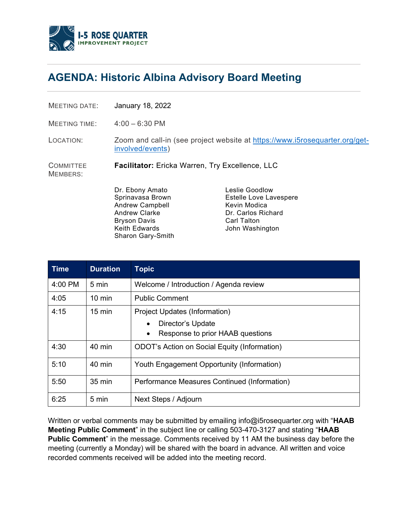

## **AGENDA: Historic Albina Advisory Board Meeting**

MEETING DATE: January 18, 2022

MEETING TIME: 4:00 – 6:30 PM

LOCATION: Zoom [and call-in \(see project website at https://www.i5rosequarter.org/get](https://www.i5rosequarter.org/get-involved/events)involved/events)

**COMMITTEE Facilitator:** Ericka Warren, Try Excellence, LLC

MEMBERS:

Dr. Ebony Amato Sprinavasa Brown Andrew Campbell Andrew Clarke Bryson Davis Keith Edwards Sharon Gary-Smith

Leslie Goodlow Estelle Love Lavespere Kevin Modica Dr. Carlos Richard Carl Talton John Washington

| <b>Time</b> | <b>Duration</b>  | <b>Topic</b>                                        |
|-------------|------------------|-----------------------------------------------------|
| 4:00 PM     | 5 min            | Welcome / Introduction / Agenda review              |
| 4:05        | $10 \text{ min}$ | <b>Public Comment</b>                               |
| 4:15        | $15 \text{ min}$ | Project Updates (Information)                       |
|             |                  | Director's Update                                   |
|             |                  | Response to prior HAAB questions<br>٠               |
| 4:30        | 40 min           | <b>ODOT's Action on Social Equity (Information)</b> |
| 5:10        | 40 min           | Youth Engagement Opportunity (Information)          |
| 5:50        | 35 min           | Performance Measures Continued (Information)        |
| 6:25        | 5 min            | Next Steps / Adjourn                                |

Written or verbal comments may be submitted by emailing info@i5rosequarter.org with "**HAAB Meeting Public Comment**" in the subject line or calling 503-470-3127 and stating "**HAAB Public Comment**" in the message. Comments received by 11 AM the business day before the meeting (currently a Monday) will be shared with the board in advance. All written and voice recorded comments received will be added into the meeting record.